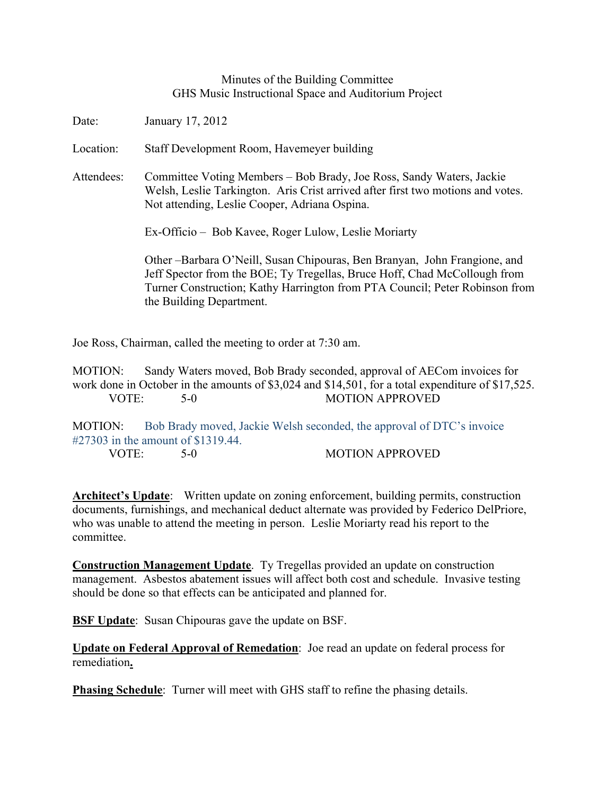## Minutes of the Building Committee GHS Music Instructional Space and Auditorium Project

Date: January 17, 2012

Location: Staff Development Room, Havemeyer building

Attendees: Committee Voting Members – Bob Brady, Joe Ross, Sandy Waters, Jackie Welsh, Leslie Tarkington. Aris Crist arrived after first two motions and votes. Not attending, Leslie Cooper, Adriana Ospina.

Ex-Officio – Bob Kavee, Roger Lulow, Leslie Moriarty

Other –Barbara O'Neill, Susan Chipouras, Ben Branyan, John Frangione, and Jeff Spector from the BOE; Ty Tregellas, Bruce Hoff, Chad McCollough from Turner Construction; Kathy Harrington from PTA Council; Peter Robinson from the Building Department.

Joe Ross, Chairman, called the meeting to order at 7:30 am.

MOTION: Sandy Waters moved, Bob Brady seconded, approval of AECom invoices for work done in October in the amounts of \$3,024 and \$14,501, for a total expenditure of \$17,525. VOTE: 5-0 MOTION APPROVED

MOTION: Bob Brady moved, Jackie Welsh seconded, the approval of DTC's invoice #27303 in the amount of \$1319.44.

VOTE: 5-0 MOTION APPROVED

**Architect's Update**: Written update on zoning enforcement, building permits, construction documents, furnishings, and mechanical deduct alternate was provided by Federico DelPriore, who was unable to attend the meeting in person. Leslie Moriarty read his report to the committee.

**Construction Management Update**. Ty Tregellas provided an update on construction management. Asbestos abatement issues will affect both cost and schedule. Invasive testing should be done so that effects can be anticipated and planned for.

**BSF Update**: Susan Chipouras gave the update on BSF.

**Update on Federal Approval of Remedation**: Joe read an update on federal process for remediation**.** 

**Phasing Schedule**: Turner will meet with GHS staff to refine the phasing details.